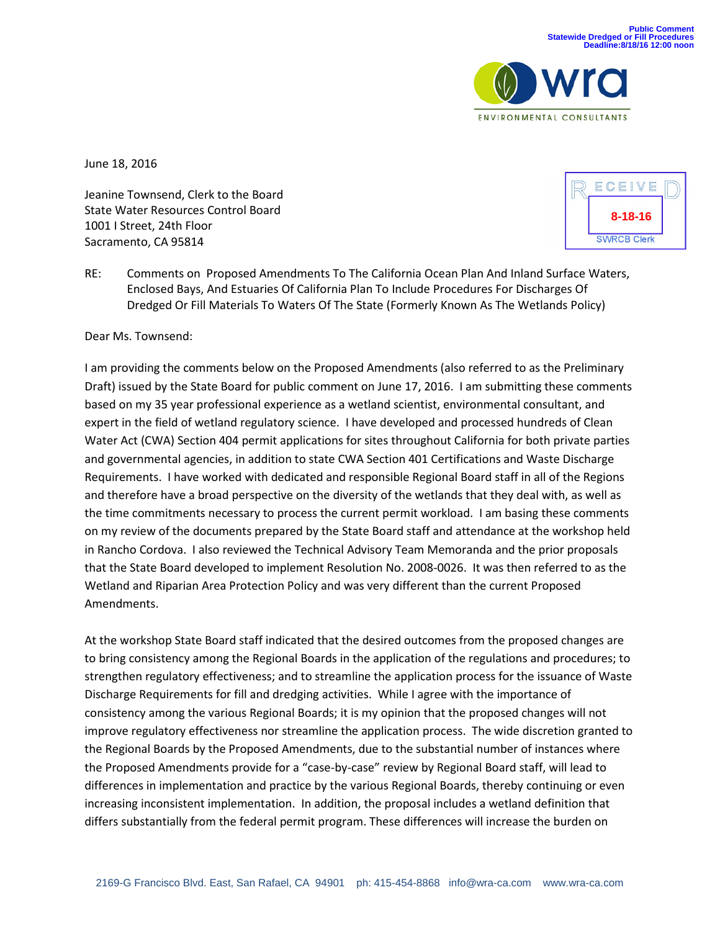

June 18, 2016

Jeanine Townsend, Clerk to the Board State Water Resources Control Board 1001 I Street, 24th Floor Sacramento, CA 95814



RE: Comments on Proposed Amendments To The California Ocean Plan And Inland Surface Waters, Enclosed Bays, And Estuaries Of California Plan To Include Procedures For Discharges Of Dredged Or Fill Materials To Waters Of The State (Formerly Known As The Wetlands Policy)

Dear Ms. Townsend:

I am providing the comments below on the Proposed Amendments (also referred to as the Preliminary Draft) issued by the State Board for public comment on June 17, 2016. I am submitting these comments based on my 35 year professional experience as a wetland scientist, environmental consultant, and expert in the field of wetland regulatory science. I have developed and processed hundreds of Clean Water Act (CWA) Section 404 permit applications for sites throughout California for both private parties and governmental agencies, in addition to state CWA Section 401 Certifications and Waste Discharge Requirements. I have worked with dedicated and responsible Regional Board staff in all of the Regions and therefore have a broad perspective on the diversity of the wetlands that they deal with, as well as the time commitments necessary to process the current permit workload. I am basing these comments on my review of the documents prepared by the State Board staff and attendance at the workshop held in Rancho Cordova. I also reviewed the Technical Advisory Team Memoranda and the prior proposals that the State Board developed to implement Resolution No. 2008-0026. It was then referred to as the Wetland and Riparian Area Protection Policy and was very different than the current Proposed Amendments.

At the workshop State Board staff indicated that the desired outcomes from the proposed changes are to bring consistency among the Regional Boards in the application of the regulations and procedures; to strengthen regulatory effectiveness; and to streamline the application process for the issuance of Waste Discharge Requirements for fill and dredging activities. While I agree with the importance of consistency among the various Regional Boards; it is my opinion that the proposed changes will not improve regulatory effectiveness nor streamline the application process. The wide discretion granted to the Regional Boards by the Proposed Amendments, due to the substantial number of instances where the Proposed Amendments provide for a "case-by-case" review by Regional Board staff, will lead to differences in implementation and practice by the various Regional Boards, thereby continuing or even increasing inconsistent implementation. In addition, the proposal includes a wetland definition that differs substantially from the federal permit program. These differences will increase the burden on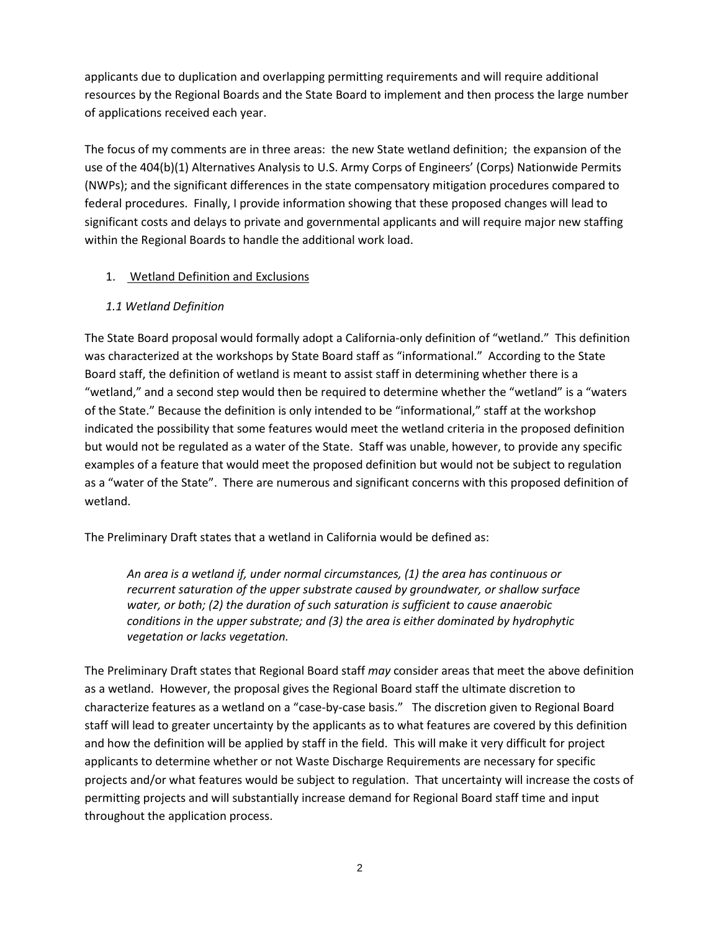applicants due to duplication and overlapping permitting requirements and will require additional resources by the Regional Boards and the State Board to implement and then process the large number of applications received each year.

The focus of my comments are in three areas: the new State wetland definition; the expansion of the use of the 404(b)(1) Alternatives Analysis to U.S. Army Corps of Engineers' (Corps) Nationwide Permits (NWPs); and the significant differences in the state compensatory mitigation procedures compared to federal procedures. Finally, I provide information showing that these proposed changes will lead to significant costs and delays to private and governmental applicants and will require major new staffing within the Regional Boards to handle the additional work load.

## 1. Wetland Definition and Exclusions

## *1.1 Wetland Definition*

The State Board proposal would formally adopt a California-only definition of "wetland." This definition was characterized at the workshops by State Board staff as "informational." According to the State Board staff, the definition of wetland is meant to assist staff in determining whether there is a "wetland," and a second step would then be required to determine whether the "wetland" is a "waters of the State." Because the definition is only intended to be "informational," staff at the workshop indicated the possibility that some features would meet the wetland criteria in the proposed definition but would not be regulated as a water of the State. Staff was unable, however, to provide any specific examples of a feature that would meet the proposed definition but would not be subject to regulation as a "water of the State". There are numerous and significant concerns with this proposed definition of wetland.

The Preliminary Draft states that a wetland in California would be defined as:

*An area is a wetland if, under normal circumstances, (1) the area has continuous or recurrent saturation of the upper substrate caused by groundwater, or shallow surface water, or both; (2) the duration of such saturation is sufficient to cause anaerobic conditions in the upper substrate; and (3) the area is either dominated by hydrophytic vegetation or lacks vegetation.*

The Preliminary Draft states that Regional Board staff *may* consider areas that meet the above definition as a wetland. However, the proposal gives the Regional Board staff the ultimate discretion to characterize features as a wetland on a "case-by-case basis." The discretion given to Regional Board staff will lead to greater uncertainty by the applicants as to what features are covered by this definition and how the definition will be applied by staff in the field. This will make it very difficult for project applicants to determine whether or not Waste Discharge Requirements are necessary for specific projects and/or what features would be subject to regulation. That uncertainty will increase the costs of permitting projects and will substantially increase demand for Regional Board staff time and input throughout the application process.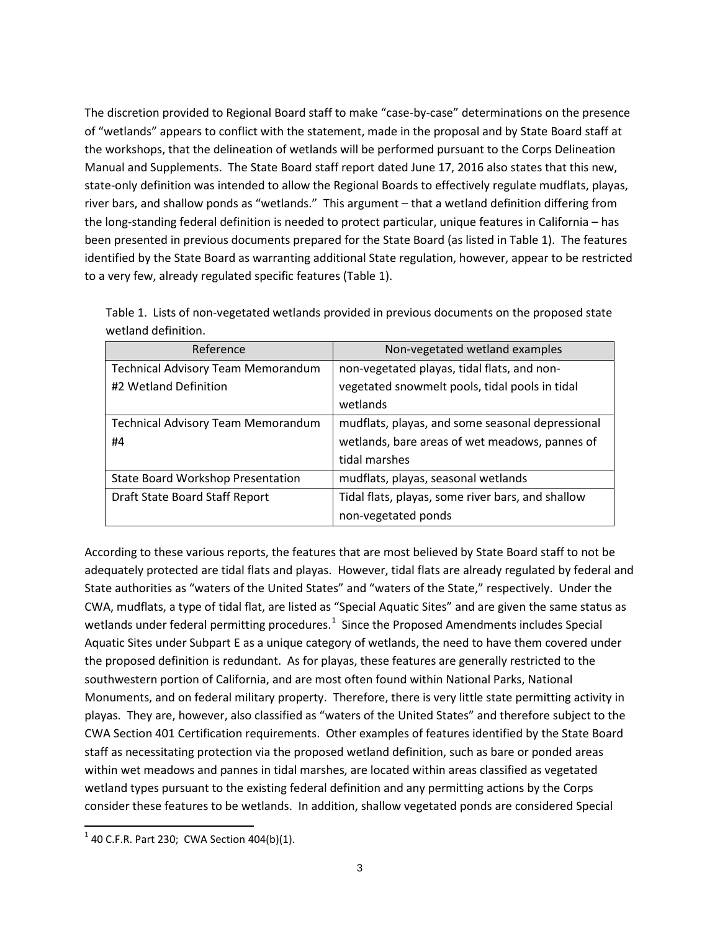The discretion provided to Regional Board staff to make "case-by-case" determinations on the presence of "wetlands" appears to conflict with the statement, made in the proposal and by State Board staff at the workshops, that the delineation of wetlands will be performed pursuant to the Corps Delineation Manual and Supplements. The State Board staff report dated June 17, 2016 also states that this new, state-only definition was intended to allow the Regional Boards to effectively regulate mudflats, playas, river bars, and shallow ponds as "wetlands." This argument – that a wetland definition differing from the long-standing federal definition is needed to protect particular, unique features in California – has been presented in previous documents prepared for the State Board (as listed in Table 1). The features identified by the State Board as warranting additional State regulation, however, appear to be restricted to a very few, already regulated specific features (Table 1).

| Reference                                 | Non-vegetated wetland examples                    |
|-------------------------------------------|---------------------------------------------------|
| <b>Technical Advisory Team Memorandum</b> | non-vegetated playas, tidal flats, and non-       |
| #2 Wetland Definition                     | vegetated snowmelt pools, tidal pools in tidal    |
|                                           | wetlands                                          |
| <b>Technical Advisory Team Memorandum</b> | mudflats, playas, and some seasonal depressional  |
| #4                                        | wetlands, bare areas of wet meadows, pannes of    |
|                                           | tidal marshes                                     |
| State Board Workshop Presentation         | mudflats, playas, seasonal wetlands               |
| Draft State Board Staff Report            | Tidal flats, playas, some river bars, and shallow |
|                                           | non-vegetated ponds                               |

Table 1. Lists of non-vegetated wetlands provided in previous documents on the proposed state wetland definition.

According to these various reports, the features that are most believed by State Board staff to not be adequately protected are tidal flats and playas. However, tidal flats are already regulated by federal and State authorities as "waters of the United States" and "waters of the State," respectively. Under the CWA, mudflats, a type of tidal flat, are listed as "Special Aquatic Sites" and are given the same status as wetlands under federal permitting procedures.<sup>[1](#page-2-0)</sup> Since the Proposed Amendments includes Special Aquatic Sites under Subpart E as a unique category of wetlands, the need to have them covered under the proposed definition is redundant. As for playas, these features are generally restricted to the southwestern portion of California, and are most often found within National Parks, National Monuments, and on federal military property. Therefore, there is very little state permitting activity in playas. They are, however, also classified as "waters of the United States" and therefore subject to the CWA Section 401 Certification requirements. Other examples of features identified by the State Board staff as necessitating protection via the proposed wetland definition, such as bare or ponded areas within wet meadows and pannes in tidal marshes, are located within areas classified as vegetated wetland types pursuant to the existing federal definition and any permitting actions by the Corps consider these features to be wetlands. In addition, shallow vegetated ponds are considered Special

<span id="page-2-0"></span> $1$  40 C.F.R. Part 230; CWA Section 404(b)(1).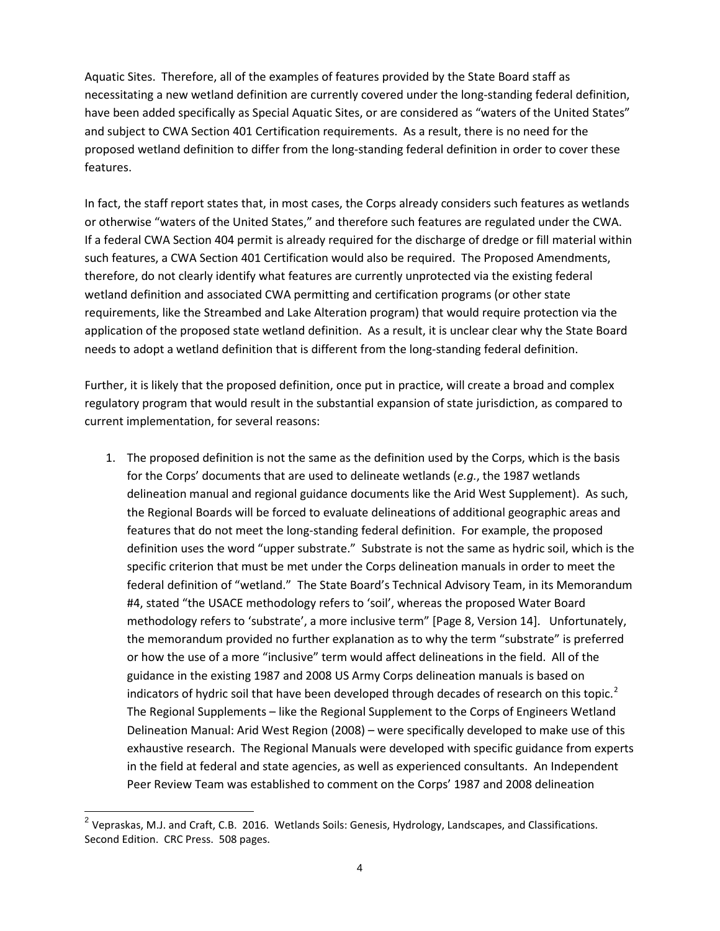Aquatic Sites. Therefore, all of the examples of features provided by the State Board staff as necessitating a new wetland definition are currently covered under the long-standing federal definition, have been added specifically as Special Aquatic Sites, or are considered as "waters of the United States" and subject to CWA Section 401 Certification requirements. As a result, there is no need for the proposed wetland definition to differ from the long-standing federal definition in order to cover these features.

In fact, the staff report states that, in most cases, the Corps already considers such features as wetlands or otherwise "waters of the United States," and therefore such features are regulated under the CWA. If a federal CWA Section 404 permit is already required for the discharge of dredge or fill material within such features, a CWA Section 401 Certification would also be required. The Proposed Amendments, therefore, do not clearly identify what features are currently unprotected via the existing federal wetland definition and associated CWA permitting and certification programs (or other state requirements, like the Streambed and Lake Alteration program) that would require protection via the application of the proposed state wetland definition. As a result, it is unclear clear why the State Board needs to adopt a wetland definition that is different from the long-standing federal definition.

Further, it is likely that the proposed definition, once put in practice, will create a broad and complex regulatory program that would result in the substantial expansion of state jurisdiction, as compared to current implementation, for several reasons:

1. The proposed definition is not the same as the definition used by the Corps, which is the basis for the Corps' documents that are used to delineate wetlands (*e.g.*, the 1987 wetlands delineation manual and regional guidance documents like the Arid West Supplement). As such, the Regional Boards will be forced to evaluate delineations of additional geographic areas and features that do not meet the long-standing federal definition. For example, the proposed definition uses the word "upper substrate." Substrate is not the same as hydric soil, which is the specific criterion that must be met under the Corps delineation manuals in order to meet the federal definition of "wetland." The State Board's Technical Advisory Team, in its Memorandum #4, stated "the USACE methodology refers to 'soil', whereas the proposed Water Board methodology refers to 'substrate', a more inclusive term" [Page 8, Version 14]. Unfortunately, the memorandum provided no further explanation as to why the term "substrate" is preferred or how the use of a more "inclusive" term would affect delineations in the field. All of the guidance in the existing 1987 and 2008 US Army Corps delineation manuals is based on indicators of hydric soil that have been developed through decades of research on this topic.<sup>[2](#page-3-0)</sup> The Regional Supplements – like the Regional Supplement to the Corps of Engineers Wetland Delineation Manual: Arid West Region (2008) – were specifically developed to make use of this exhaustive research. The Regional Manuals were developed with specific guidance from experts in the field at federal and state agencies, as well as experienced consultants. An Independent Peer Review Team was established to comment on the Corps' 1987 and 2008 delineation

<span id="page-3-0"></span><sup>&</sup>lt;sup>2</sup> Vepraskas, M.J. and Craft, C.B. 2016. Wetlands Soils: Genesis, Hydrology, Landscapes, and Classifications. Second Edition. CRC Press. 508 pages.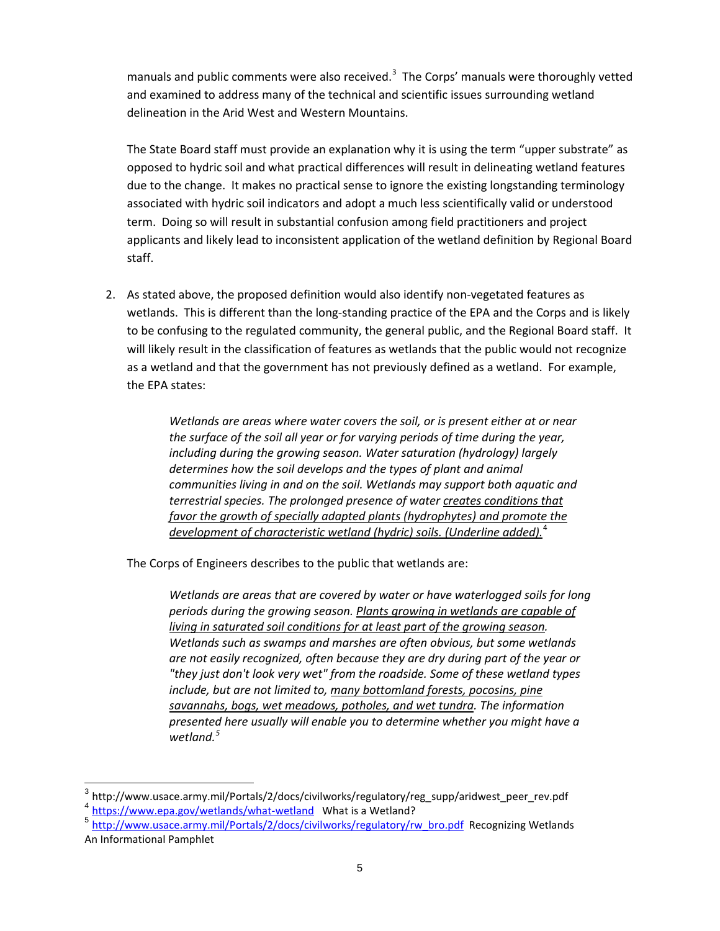manuals and public comments were also received.<sup>[3](#page-4-0)</sup> The Corps' manuals were thoroughly vetted and examined to address many of the technical and scientific issues surrounding wetland delineation in the Arid West and Western Mountains.

The State Board staff must provide an explanation why it is using the term "upper substrate" as opposed to hydric soil and what practical differences will result in delineating wetland features due to the change. It makes no practical sense to ignore the existing longstanding terminology associated with hydric soil indicators and adopt a much less scientifically valid or understood term. Doing so will result in substantial confusion among field practitioners and project applicants and likely lead to inconsistent application of the wetland definition by Regional Board staff.

2. As stated above, the proposed definition would also identify non-vegetated features as wetlands. This is different than the long-standing practice of the EPA and the Corps and is likely to be confusing to the regulated community, the general public, and the Regional Board staff. It will likely result in the classification of features as wetlands that the public would not recognize as a wetland and that the government has not previously defined as a wetland. For example, the EPA states:

> *Wetlands are areas where water covers the soil, or is present either at or near the surface of the soil all year or for varying periods of time during the year, including during the growing season. Water saturation (hydrology) largely determines how the soil develops and the types of plant and animal communities living in and on the soil. Wetlands may support both aquatic and terrestrial species. The prolonged presence of water creates conditions that favor the growth of specially adapted plants (hydrophytes) and promote the development of characteristic wetland (hydric) soils. (Underline added).*[4](#page-4-1)

The Corps of Engineers describes to the public that wetlands are:

*Wetlands are areas that are covered by water or have waterlogged soils for long periods during the growing season. Plants growing in wetlands are capable of living in saturated soil conditions for at least part of the growing season. Wetlands such as swamps and marshes are often obvious, but some wetlands are not easily recognized, often because they are dry during part of the year or "they just don't look very wet" from the roadside. Some of these wetland types include, but are not limited to, many bottomland forests, pocosins, pine savannahs, bogs, wet meadows, potholes, and wet tundra. The information presented here usually will enable you to determine whether you might have a wetland.[5](#page-4-2)*

<span id="page-4-0"></span> $3$  http://www.usace.army.mil/Portals/2/docs/civilworks/regulatory/reg\_supp/aridwest\_peer\_rev.pdf <sup>4</sup> <https://www.epa.gov/wetlands/what-wetland>What is a Wetland?

<span id="page-4-2"></span><span id="page-4-1"></span><sup>5</sup> [http://www.usace.army.mil/Portals/2/docs/civilworks/regulatory/rw\\_bro.pdf](http://www.usace.army.mil/Portals/2/docs/civilworks/regulatory/rw_bro.pdf) Recognizing Wetlands An Informational Pamphlet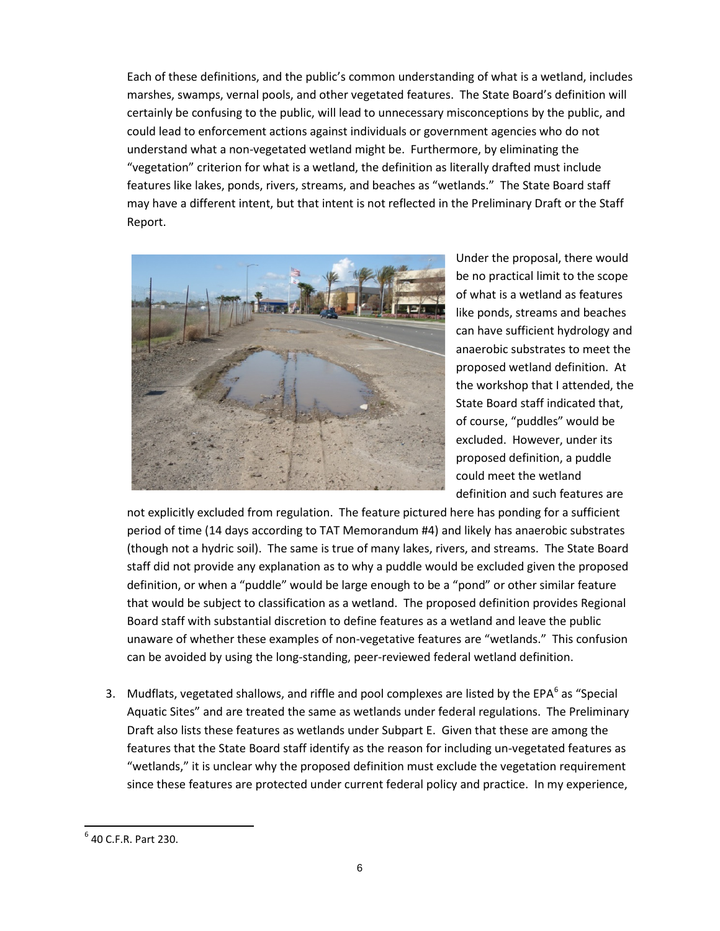Each of these definitions, and the public's common understanding of what is a wetland, includes marshes, swamps, vernal pools, and other vegetated features. The State Board's definition will certainly be confusing to the public, will lead to unnecessary misconceptions by the public, and could lead to enforcement actions against individuals or government agencies who do not understand what a non-vegetated wetland might be. Furthermore, by eliminating the "vegetation" criterion for what is a wetland, the definition as literally drafted must include features like lakes, ponds, rivers, streams, and beaches as "wetlands." The State Board staff may have a different intent, but that intent is not reflected in the Preliminary Draft or the Staff Report.



Under the proposal, there would be no practical limit to the scope of what is a wetland as features like ponds, streams and beaches can have sufficient hydrology and anaerobic substrates to meet the proposed wetland definition. At the workshop that I attended, the State Board staff indicated that, of course, "puddles" would be excluded. However, under its proposed definition, a puddle could meet the wetland definition and such features are

not explicitly excluded from regulation. The feature pictured here has ponding for a sufficient period of time (14 days according to TAT Memorandum #4) and likely has anaerobic substrates (though not a hydric soil). The same is true of many lakes, rivers, and streams. The State Board staff did not provide any explanation as to why a puddle would be excluded given the proposed definition, or when a "puddle" would be large enough to be a "pond" or other similar feature that would be subject to classification as a wetland. The proposed definition provides Regional Board staff with substantial discretion to define features as a wetland and leave the public unaware of whether these examples of non-vegetative features are "wetlands." This confusion can be avoided by using the long-standing, peer-reviewed federal wetland definition.

3. Mudflats, vegetated shallows, and riffle and pool complexes are listed by the EPA $^6$  $^6$  as "Special Aquatic Sites" and are treated the same as wetlands under federal regulations. The Preliminary Draft also lists these features as wetlands under Subpart E. Given that these are among the features that the State Board staff identify as the reason for including un-vegetated features as "wetlands," it is unclear why the proposed definition must exclude the vegetation requirement since these features are protected under current federal policy and practice. In my experience,

<span id="page-5-0"></span> $6$  40 C.F.R. Part 230.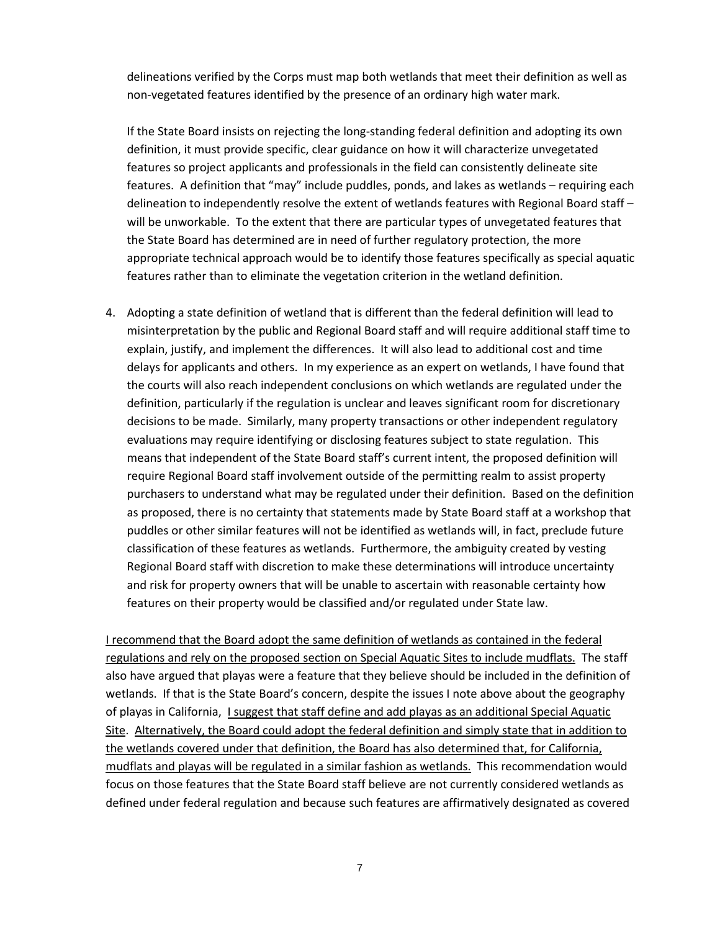delineations verified by the Corps must map both wetlands that meet their definition as well as non-vegetated features identified by the presence of an ordinary high water mark.

If the State Board insists on rejecting the long-standing federal definition and adopting its own definition, it must provide specific, clear guidance on how it will characterize unvegetated features so project applicants and professionals in the field can consistently delineate site features. A definition that "may" include puddles, ponds, and lakes as wetlands – requiring each delineation to independently resolve the extent of wetlands features with Regional Board staff – will be unworkable. To the extent that there are particular types of unvegetated features that the State Board has determined are in need of further regulatory protection, the more appropriate technical approach would be to identify those features specifically as special aquatic features rather than to eliminate the vegetation criterion in the wetland definition.

4. Adopting a state definition of wetland that is different than the federal definition will lead to misinterpretation by the public and Regional Board staff and will require additional staff time to explain, justify, and implement the differences. It will also lead to additional cost and time delays for applicants and others. In my experience as an expert on wetlands, I have found that the courts will also reach independent conclusions on which wetlands are regulated under the definition, particularly if the regulation is unclear and leaves significant room for discretionary decisions to be made. Similarly, many property transactions or other independent regulatory evaluations may require identifying or disclosing features subject to state regulation. This means that independent of the State Board staff's current intent, the proposed definition will require Regional Board staff involvement outside of the permitting realm to assist property purchasers to understand what may be regulated under their definition. Based on the definition as proposed, there is no certainty that statements made by State Board staff at a workshop that puddles or other similar features will not be identified as wetlands will, in fact, preclude future classification of these features as wetlands. Furthermore, the ambiguity created by vesting Regional Board staff with discretion to make these determinations will introduce uncertainty and risk for property owners that will be unable to ascertain with reasonable certainty how features on their property would be classified and/or regulated under State law.

I recommend that the Board adopt the same definition of wetlands as contained in the federal regulations and rely on the proposed section on Special Aquatic Sites to include mudflats. The staff also have argued that playas were a feature that they believe should be included in the definition of wetlands. If that is the State Board's concern, despite the issues I note above about the geography of playas in California, I suggest that staff define and add playas as an additional Special Aquatic Site. Alternatively, the Board could adopt the federal definition and simply state that in addition to the wetlands covered under that definition, the Board has also determined that, for California, mudflats and playas will be regulated in a similar fashion as wetlands. This recommendation would focus on those features that the State Board staff believe are not currently considered wetlands as defined under federal regulation and because such features are affirmatively designated as covered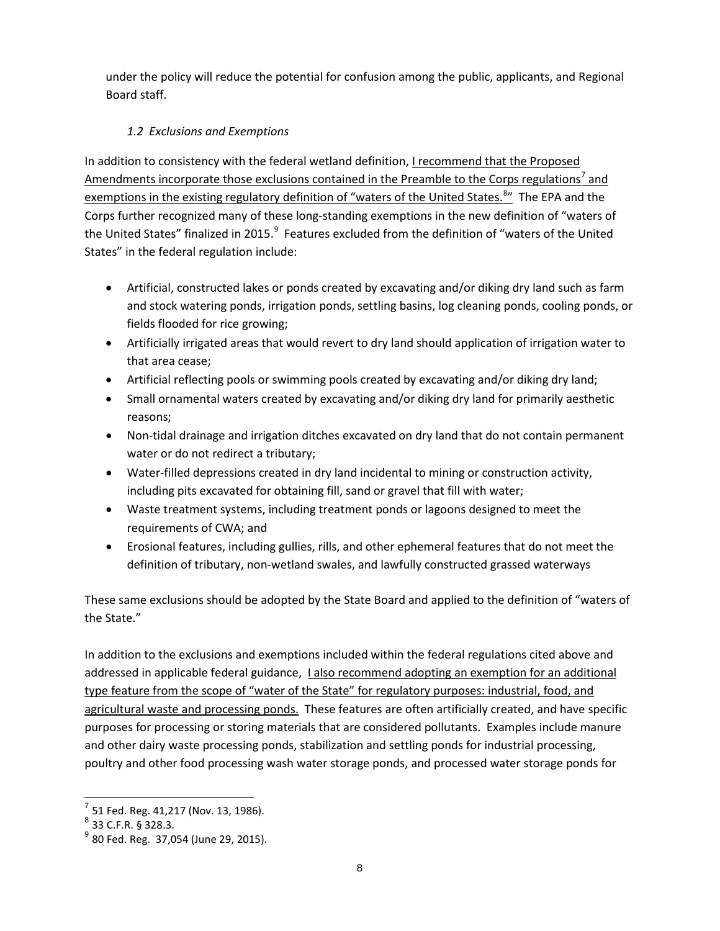under the policy will reduce the potential for confusion among the public, applicants, and Regional Board staff.

# *1.2 Exclusions and Exemptions*

In addition to consistency with the federal wetland definition, *I recommend that the Proposed* Amendments incorporate those exclusions contained in the Preamble to the Corps regulations<sup>[7](#page-7-0)</sup> and exemptions in the existing regulatory definition of "waters of the United States.<sup>[8](#page-7-1)</sup>" The EPA and the Corps further recognized many of these long-standing exemptions in the new definition of "waters of the United States" finalized in 2015. $^9$  $^9$  Features excluded from the definition of "waters of the United States" in the federal regulation include:

- Artificial, constructed lakes or ponds created by excavating and/or diking dry land such as farm and stock watering ponds, irrigation ponds, settling basins, log cleaning ponds, cooling ponds, or fields flooded for rice growing;
- Artificially irrigated areas that would revert to dry land should application of irrigation water to that area cease;
- Artificial reflecting pools or swimming pools created by excavating and/or diking dry land;
- Small ornamental waters created by excavating and/or diking dry land for primarily aesthetic reasons;
- Non-tidal drainage and irrigation ditches excavated on dry land that do not contain permanent water or do not redirect a tributary;
- Water-filled depressions created in dry land incidental to mining or construction activity, including pits excavated for obtaining fill, sand or gravel that fill with water;
- Waste treatment systems, including treatment ponds or lagoons designed to meet the requirements of CWA; and
- Erosional features, including gullies, rills, and other ephemeral features that do not meet the definition of tributary, non-wetland swales, and lawfully constructed grassed waterways

These same exclusions should be adopted by the State Board and applied to the definition of "waters of the State."

In addition to the exclusions and exemptions included within the federal regulations cited above and addressed in applicable federal guidance, I also recommend adopting an exemption for an additional type feature from the scope of "water of the State" for regulatory purposes: industrial, food, and agricultural waste and processing ponds. These features are often artificially created, and have specific purposes for processing or storing materials that are considered pollutants. Examples include manure and other dairy waste processing ponds, stabilization and settling ponds for industrial processing, poultry and other food processing wash water storage ponds, and processed water storage ponds for

<span id="page-7-0"></span> $<sup>7</sup>$  51 Fed. Reg. 41,217 (Nov. 13, 1986).</sup>

<span id="page-7-1"></span><sup>8</sup> 33 C.F.R. § 328.3.

<span id="page-7-2"></span> $9^9$  80 Fed. Reg. 37,054 (June 29, 2015).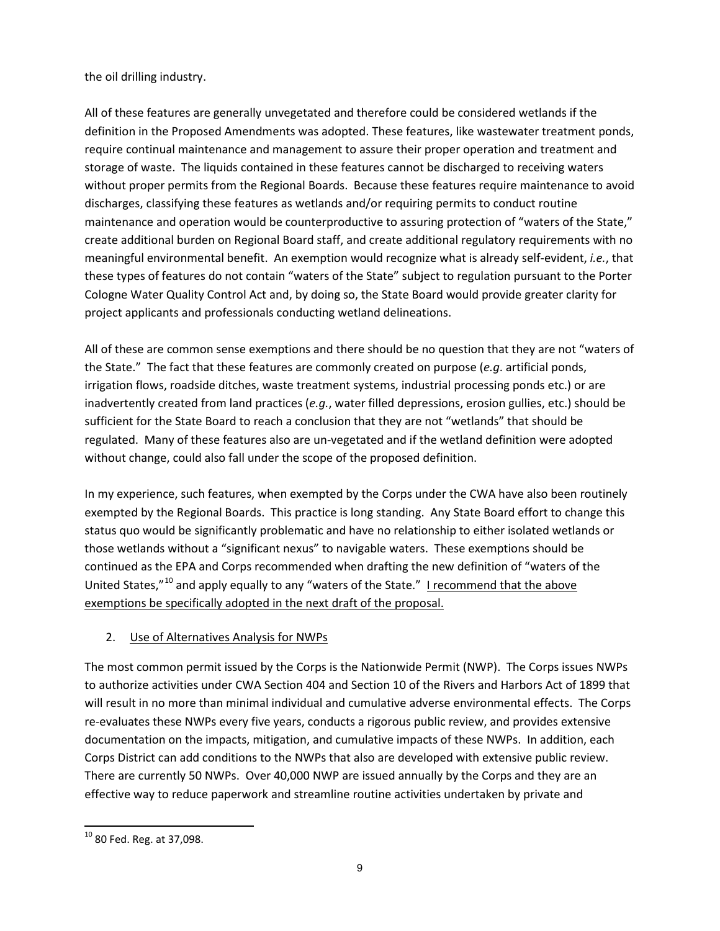## the oil drilling industry.

All of these features are generally unvegetated and therefore could be considered wetlands if the definition in the Proposed Amendments was adopted. These features, like wastewater treatment ponds, require continual maintenance and management to assure their proper operation and treatment and storage of waste. The liquids contained in these features cannot be discharged to receiving waters without proper permits from the Regional Boards. Because these features require maintenance to avoid discharges, classifying these features as wetlands and/or requiring permits to conduct routine maintenance and operation would be counterproductive to assuring protection of "waters of the State," create additional burden on Regional Board staff, and create additional regulatory requirements with no meaningful environmental benefit. An exemption would recognize what is already self-evident, *i.e.*, that these types of features do not contain "waters of the State" subject to regulation pursuant to the Porter Cologne Water Quality Control Act and, by doing so, the State Board would provide greater clarity for project applicants and professionals conducting wetland delineations.

All of these are common sense exemptions and there should be no question that they are not "waters of the State." The fact that these features are commonly created on purpose (*e.g*. artificial ponds, irrigation flows, roadside ditches, waste treatment systems, industrial processing ponds etc.) or are inadvertently created from land practices (*e.g.*, water filled depressions, erosion gullies, etc.) should be sufficient for the State Board to reach a conclusion that they are not "wetlands" that should be regulated. Many of these features also are un-vegetated and if the wetland definition were adopted without change, could also fall under the scope of the proposed definition.

In my experience, such features, when exempted by the Corps under the CWA have also been routinely exempted by the Regional Boards. This practice is long standing. Any State Board effort to change this status quo would be significantly problematic and have no relationship to either isolated wetlands or those wetlands without a "significant nexus" to navigable waters. These exemptions should be continued as the EPA and Corps recommended when drafting the new definition of "waters of the United States,"<sup>[10](#page-8-0)</sup> and apply equally to any "waters of the State." I recommend that the above exemptions be specifically adopted in the next draft of the proposal.

## 2. Use of Alternatives Analysis for NWPs

The most common permit issued by the Corps is the Nationwide Permit (NWP). The Corps issues NWPs to authorize activities under CWA Section 404 and Section 10 of the Rivers and Harbors Act of 1899 that will result in no more than minimal individual and cumulative adverse environmental effects. The Corps re-evaluates these NWPs every five years, conducts a rigorous public review, and provides extensive documentation on the impacts, mitigation, and cumulative impacts of these NWPs. In addition, each Corps District can add conditions to the NWPs that also are developed with extensive public review. There are currently 50 NWPs. Over 40,000 NWP are issued annually by the Corps and they are an effective way to reduce paperwork and streamline routine activities undertaken by private and

<span id="page-8-0"></span><sup>10</sup> 80 Fed. Reg. at 37,098.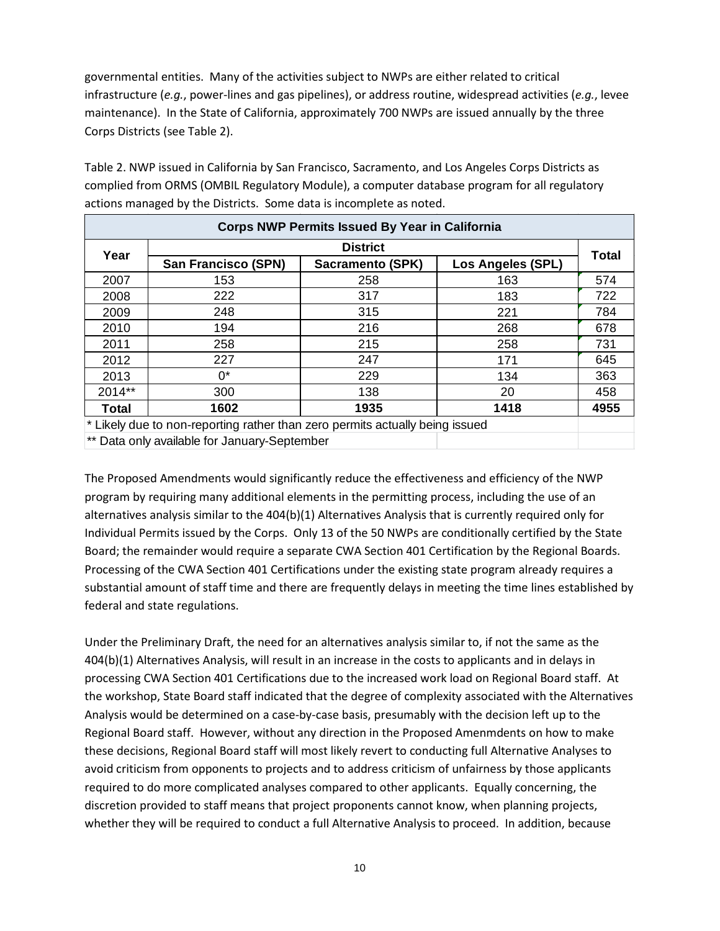governmental entities. Many of the activities subject to NWPs are either related to critical infrastructure (*e.g.*, power-lines and gas pipelines), or address routine, widespread activities (*e.g.*, levee maintenance). In the State of California, approximately 700 NWPs are issued annually by the three Corps Districts (see Table 2).

Table 2. NWP issued in California by San Francisco, Sacramento, and Los Angeles Corps Districts as complied from ORMS (OMBIL Regulatory Module), a computer database program for all regulatory actions managed by the Districts. Some data is incomplete as noted.

| <b>Corps NWP Permits Issued By Year in California</b>                        |                                              |                  |                          |              |  |  |  |
|------------------------------------------------------------------------------|----------------------------------------------|------------------|--------------------------|--------------|--|--|--|
| Year                                                                         | <b>District</b>                              |                  |                          |              |  |  |  |
|                                                                              | <b>San Francisco (SPN)</b>                   | Sacramento (SPK) | <b>Los Angeles (SPL)</b> | <b>Total</b> |  |  |  |
| 2007                                                                         | 153                                          | 258              | 163                      | 574          |  |  |  |
| 2008                                                                         | 222                                          | 317              | 183                      | 722          |  |  |  |
| 2009                                                                         | 248                                          | 315              | 221                      | 784          |  |  |  |
| 2010                                                                         | 194                                          | 216              | 268                      | 678          |  |  |  |
| 2011                                                                         | 258                                          | 215              | 258                      | 731          |  |  |  |
| 2012                                                                         | 227                                          | 247              | 171                      | 645          |  |  |  |
| 2013                                                                         | በ*                                           | 229              | 134                      | 363          |  |  |  |
| 2014**                                                                       | 300                                          | 138              | 20                       | 458          |  |  |  |
| Total                                                                        | 1602                                         | 1935             | 1418                     | 4955         |  |  |  |
| * Likely due to non-reporting rather than zero permits actually being issued |                                              |                  |                          |              |  |  |  |
|                                                                              | ** Data only available for January-September |                  |                          |              |  |  |  |

The Proposed Amendments would significantly reduce the effectiveness and efficiency of the NWP program by requiring many additional elements in the permitting process, including the use of an alternatives analysis similar to the 404(b)(1) Alternatives Analysis that is currently required only for Individual Permits issued by the Corps. Only 13 of the 50 NWPs are conditionally certified by the State Board; the remainder would require a separate CWA Section 401 Certification by the Regional Boards. Processing of the CWA Section 401 Certifications under the existing state program already requires a substantial amount of staff time and there are frequently delays in meeting the time lines established by federal and state regulations.

Under the Preliminary Draft, the need for an alternatives analysis similar to, if not the same as the 404(b)(1) Alternatives Analysis, will result in an increase in the costs to applicants and in delays in processing CWA Section 401 Certifications due to the increased work load on Regional Board staff. At the workshop, State Board staff indicated that the degree of complexity associated with the Alternatives Analysis would be determined on a case-by-case basis, presumably with the decision left up to the Regional Board staff. However, without any direction in the Proposed Amenmdents on how to make these decisions, Regional Board staff will most likely revert to conducting full Alternative Analyses to avoid criticism from opponents to projects and to address criticism of unfairness by those applicants required to do more complicated analyses compared to other applicants. Equally concerning, the discretion provided to staff means that project proponents cannot know, when planning projects, whether they will be required to conduct a full Alternative Analysis to proceed. In addition, because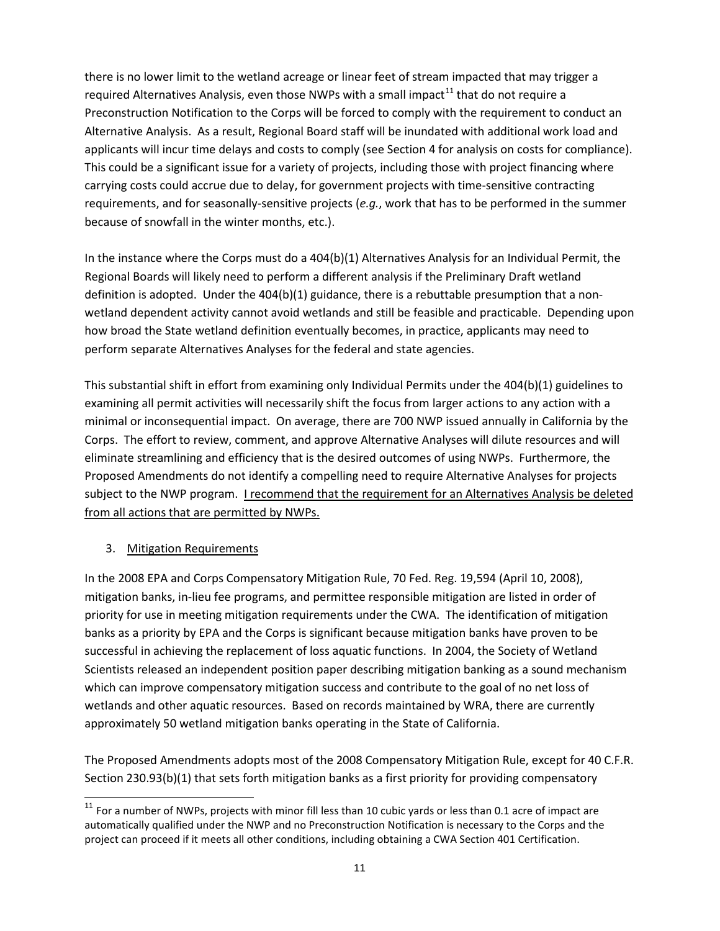there is no lower limit to the wetland acreage or linear feet of stream impacted that may trigger a required Alternatives Analysis, even those NWPs with a small impact<sup>[11](#page-10-0)</sup> that do not require a Preconstruction Notification to the Corps will be forced to comply with the requirement to conduct an Alternative Analysis. As a result, Regional Board staff will be inundated with additional work load and applicants will incur time delays and costs to comply (see Section 4 for analysis on costs for compliance). This could be a significant issue for a variety of projects, including those with project financing where carrying costs could accrue due to delay, for government projects with time-sensitive contracting requirements, and for seasonally-sensitive projects (*e.g.*, work that has to be performed in the summer because of snowfall in the winter months, etc.).

In the instance where the Corps must do a 404(b)(1) Alternatives Analysis for an Individual Permit, the Regional Boards will likely need to perform a different analysis if the Preliminary Draft wetland definition is adopted. Under the 404(b)(1) guidance, there is a rebuttable presumption that a nonwetland dependent activity cannot avoid wetlands and still be feasible and practicable. Depending upon how broad the State wetland definition eventually becomes, in practice, applicants may need to perform separate Alternatives Analyses for the federal and state agencies.

This substantial shift in effort from examining only Individual Permits under the 404(b)(1) guidelines to examining all permit activities will necessarily shift the focus from larger actions to any action with a minimal or inconsequential impact. On average, there are 700 NWP issued annually in California by the Corps. The effort to review, comment, and approve Alternative Analyses will dilute resources and will eliminate streamlining and efficiency that is the desired outcomes of using NWPs. Furthermore, the Proposed Amendments do not identify a compelling need to require Alternative Analyses for projects subject to the NWP program. I recommend that the requirement for an Alternatives Analysis be deleted from all actions that are permitted by NWPs.

## 3. Mitigation Requirements

In the 2008 EPA and Corps Compensatory Mitigation Rule, 70 Fed. Reg. 19,594 (April 10, 2008), mitigation banks, in-lieu fee programs, and permittee responsible mitigation are listed in order of priority for use in meeting mitigation requirements under the CWA. The identification of mitigation banks as a priority by EPA and the Corps is significant because mitigation banks have proven to be successful in achieving the replacement of loss aquatic functions. In 2004, the Society of Wetland Scientists released an independent position paper describing mitigation banking as a sound mechanism which can improve compensatory mitigation success and contribute to the goal of no net loss of wetlands and other aquatic resources. Based on records maintained by WRA, there are currently approximately 50 wetland mitigation banks operating in the State of California.

The Proposed Amendments adopts most of the 2008 Compensatory Mitigation Rule, except for 40 C.F.R. Section 230.93(b)(1) that sets forth mitigation banks as a first priority for providing compensatory

<span id="page-10-0"></span> $11$  For a number of NWPs, projects with minor fill less than 10 cubic yards or less than 0.1 acre of impact are automatically qualified under the NWP and no Preconstruction Notification is necessary to the Corps and the project can proceed if it meets all other conditions, including obtaining a CWA Section 401 Certification.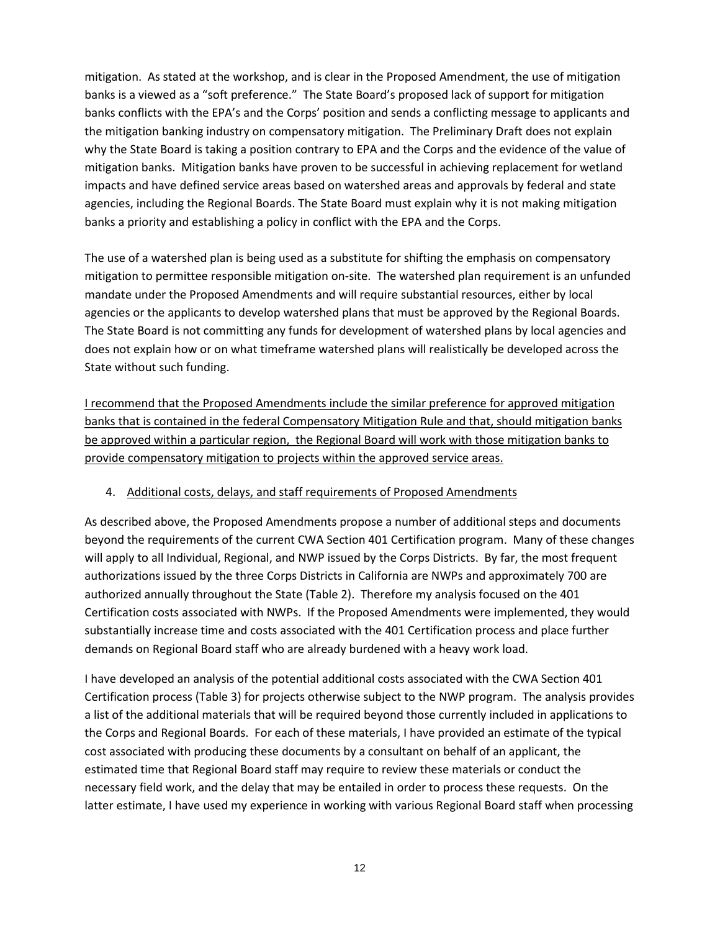mitigation. As stated at the workshop, and is clear in the Proposed Amendment, the use of mitigation banks is a viewed as a "soft preference." The State Board's proposed lack of support for mitigation banks conflicts with the EPA's and the Corps' position and sends a conflicting message to applicants and the mitigation banking industry on compensatory mitigation. The Preliminary Draft does not explain why the State Board is taking a position contrary to EPA and the Corps and the evidence of the value of mitigation banks. Mitigation banks have proven to be successful in achieving replacement for wetland impacts and have defined service areas based on watershed areas and approvals by federal and state agencies, including the Regional Boards. The State Board must explain why it is not making mitigation banks a priority and establishing a policy in conflict with the EPA and the Corps.

The use of a watershed plan is being used as a substitute for shifting the emphasis on compensatory mitigation to permittee responsible mitigation on-site. The watershed plan requirement is an unfunded mandate under the Proposed Amendments and will require substantial resources, either by local agencies or the applicants to develop watershed plans that must be approved by the Regional Boards. The State Board is not committing any funds for development of watershed plans by local agencies and does not explain how or on what timeframe watershed plans will realistically be developed across the State without such funding.

I recommend that the Proposed Amendments include the similar preference for approved mitigation banks that is contained in the federal Compensatory Mitigation Rule and that, should mitigation banks be approved within a particular region, the Regional Board will work with those mitigation banks to provide compensatory mitigation to projects within the approved service areas.

### 4. Additional costs, delays, and staff requirements of Proposed Amendments

As described above, the Proposed Amendments propose a number of additional steps and documents beyond the requirements of the current CWA Section 401 Certification program. Many of these changes will apply to all Individual, Regional, and NWP issued by the Corps Districts. By far, the most frequent authorizations issued by the three Corps Districts in California are NWPs and approximately 700 are authorized annually throughout the State (Table 2). Therefore my analysis focused on the 401 Certification costs associated with NWPs. If the Proposed Amendments were implemented, they would substantially increase time and costs associated with the 401 Certification process and place further demands on Regional Board staff who are already burdened with a heavy work load.

I have developed an analysis of the potential additional costs associated with the CWA Section 401 Certification process (Table 3) for projects otherwise subject to the NWP program. The analysis provides a list of the additional materials that will be required beyond those currently included in applications to the Corps and Regional Boards. For each of these materials, I have provided an estimate of the typical cost associated with producing these documents by a consultant on behalf of an applicant, the estimated time that Regional Board staff may require to review these materials or conduct the necessary field work, and the delay that may be entailed in order to process these requests. On the latter estimate, I have used my experience in working with various Regional Board staff when processing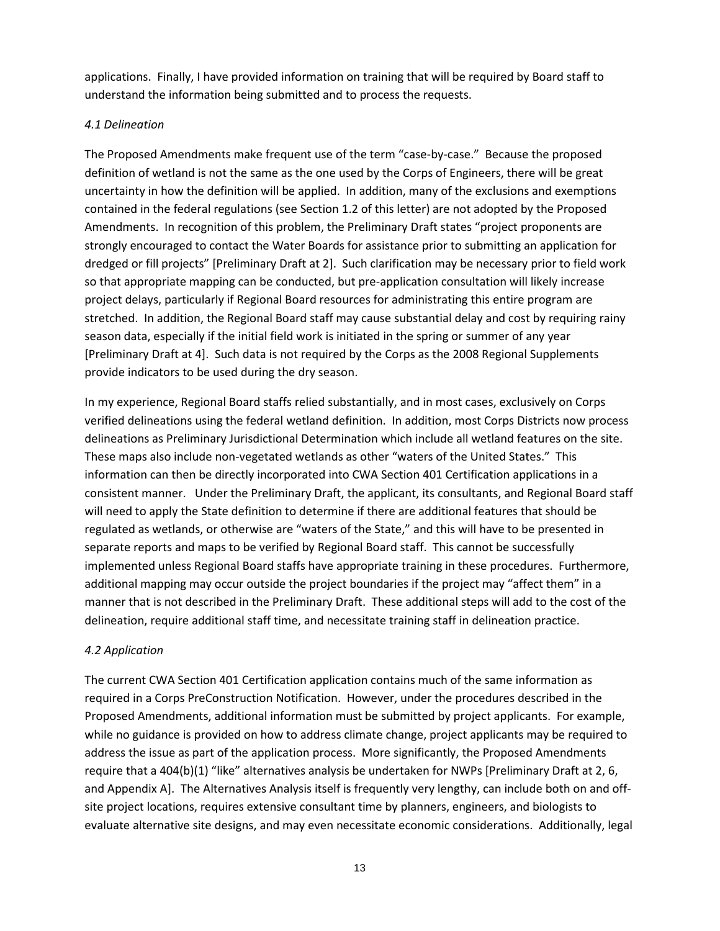applications. Finally, I have provided information on training that will be required by Board staff to understand the information being submitted and to process the requests.

### *4.1 Delineation*

The Proposed Amendments make frequent use of the term "case-by-case." Because the proposed definition of wetland is not the same as the one used by the Corps of Engineers, there will be great uncertainty in how the definition will be applied. In addition, many of the exclusions and exemptions contained in the federal regulations (see Section 1.2 of this letter) are not adopted by the Proposed Amendments. In recognition of this problem, the Preliminary Draft states "project proponents are strongly encouraged to contact the Water Boards for assistance prior to submitting an application for dredged or fill projects" [Preliminary Draft at 2]. Such clarification may be necessary prior to field work so that appropriate mapping can be conducted, but pre-application consultation will likely increase project delays, particularly if Regional Board resources for administrating this entire program are stretched. In addition, the Regional Board staff may cause substantial delay and cost by requiring rainy season data, especially if the initial field work is initiated in the spring or summer of any year [Preliminary Draft at 4]. Such data is not required by the Corps as the 2008 Regional Supplements provide indicators to be used during the dry season.

In my experience, Regional Board staffs relied substantially, and in most cases, exclusively on Corps verified delineations using the federal wetland definition. In addition, most Corps Districts now process delineations as Preliminary Jurisdictional Determination which include all wetland features on the site. These maps also include non-vegetated wetlands as other "waters of the United States." This information can then be directly incorporated into CWA Section 401 Certification applications in a consistent manner. Under the Preliminary Draft, the applicant, its consultants, and Regional Board staff will need to apply the State definition to determine if there are additional features that should be regulated as wetlands, or otherwise are "waters of the State," and this will have to be presented in separate reports and maps to be verified by Regional Board staff. This cannot be successfully implemented unless Regional Board staffs have appropriate training in these procedures. Furthermore, additional mapping may occur outside the project boundaries if the project may "affect them" in a manner that is not described in the Preliminary Draft. These additional steps will add to the cost of the delineation, require additional staff time, and necessitate training staff in delineation practice.

### *4.2 Application*

The current CWA Section 401 Certification application contains much of the same information as required in a Corps PreConstruction Notification. However, under the procedures described in the Proposed Amendments, additional information must be submitted by project applicants. For example, while no guidance is provided on how to address climate change, project applicants may be required to address the issue as part of the application process. More significantly, the Proposed Amendments require that a 404(b)(1) "like" alternatives analysis be undertaken for NWPs [Preliminary Draft at 2, 6, and Appendix A]. The Alternatives Analysis itself is frequently very lengthy, can include both on and offsite project locations, requires extensive consultant time by planners, engineers, and biologists to evaluate alternative site designs, and may even necessitate economic considerations. Additionally, legal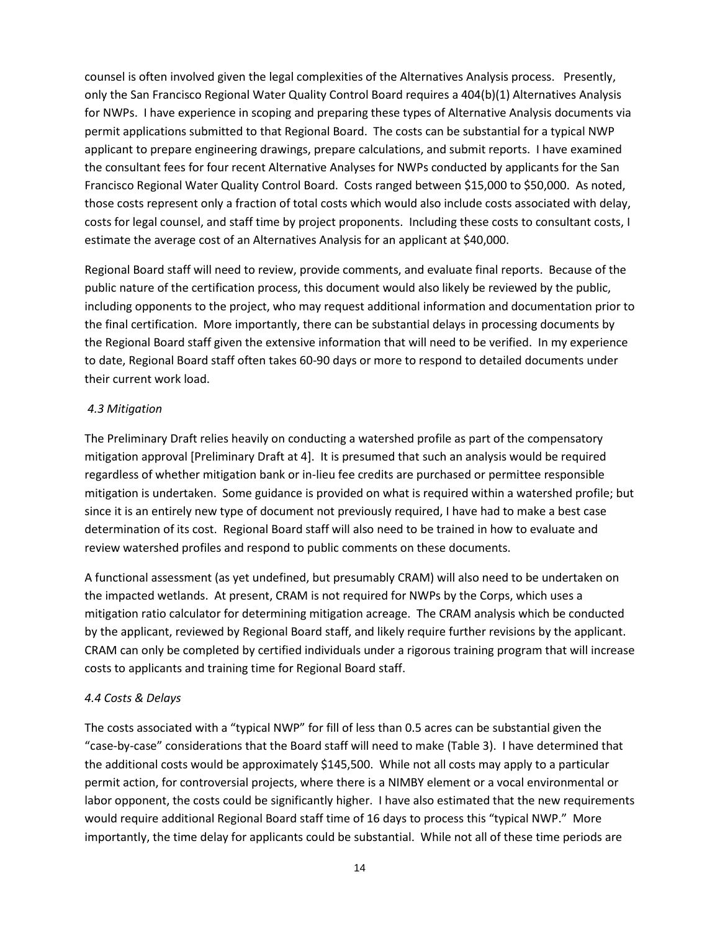counsel is often involved given the legal complexities of the Alternatives Analysis process. Presently, only the San Francisco Regional Water Quality Control Board requires a 404(b)(1) Alternatives Analysis for NWPs. I have experience in scoping and preparing these types of Alternative Analysis documents via permit applications submitted to that Regional Board. The costs can be substantial for a typical NWP applicant to prepare engineering drawings, prepare calculations, and submit reports. I have examined the consultant fees for four recent Alternative Analyses for NWPs conducted by applicants for the San Francisco Regional Water Quality Control Board. Costs ranged between \$15,000 to \$50,000. As noted, those costs represent only a fraction of total costs which would also include costs associated with delay, costs for legal counsel, and staff time by project proponents. Including these costs to consultant costs, I estimate the average cost of an Alternatives Analysis for an applicant at \$40,000.

Regional Board staff will need to review, provide comments, and evaluate final reports. Because of the public nature of the certification process, this document would also likely be reviewed by the public, including opponents to the project, who may request additional information and documentation prior to the final certification. More importantly, there can be substantial delays in processing documents by the Regional Board staff given the extensive information that will need to be verified. In my experience to date, Regional Board staff often takes 60-90 days or more to respond to detailed documents under their current work load.

### *4.3 Mitigation*

The Preliminary Draft relies heavily on conducting a watershed profile as part of the compensatory mitigation approval [Preliminary Draft at 4]. It is presumed that such an analysis would be required regardless of whether mitigation bank or in-lieu fee credits are purchased or permittee responsible mitigation is undertaken. Some guidance is provided on what is required within a watershed profile; but since it is an entirely new type of document not previously required, I have had to make a best case determination of its cost. Regional Board staff will also need to be trained in how to evaluate and review watershed profiles and respond to public comments on these documents.

A functional assessment (as yet undefined, but presumably CRAM) will also need to be undertaken on the impacted wetlands. At present, CRAM is not required for NWPs by the Corps, which uses a mitigation ratio calculator for determining mitigation acreage. The CRAM analysis which be conducted by the applicant, reviewed by Regional Board staff, and likely require further revisions by the applicant. CRAM can only be completed by certified individuals under a rigorous training program that will increase costs to applicants and training time for Regional Board staff.

## *4.4 Costs & Delays*

The costs associated with a "typical NWP" for fill of less than 0.5 acres can be substantial given the "case-by-case" considerations that the Board staff will need to make (Table 3). I have determined that the additional costs would be approximately \$145,500. While not all costs may apply to a particular permit action, for controversial projects, where there is a NIMBY element or a vocal environmental or labor opponent, the costs could be significantly higher. I have also estimated that the new requirements would require additional Regional Board staff time of 16 days to process this "typical NWP." More importantly, the time delay for applicants could be substantial. While not all of these time periods are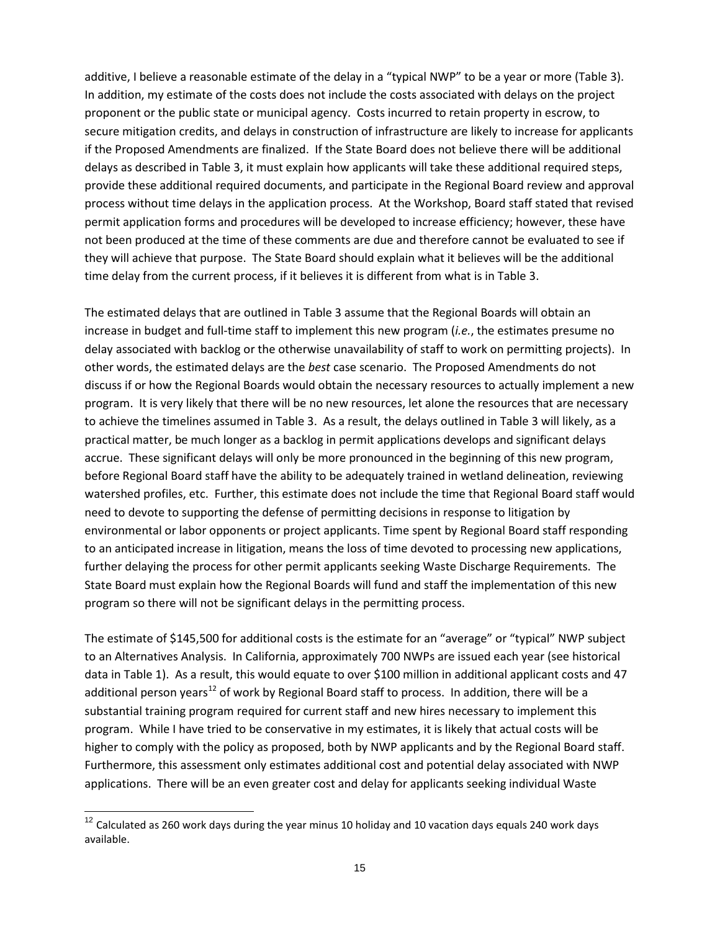additive, I believe a reasonable estimate of the delay in a "typical NWP" to be a year or more (Table 3). In addition, my estimate of the costs does not include the costs associated with delays on the project proponent or the public state or municipal agency. Costs incurred to retain property in escrow, to secure mitigation credits, and delays in construction of infrastructure are likely to increase for applicants if the Proposed Amendments are finalized. If the State Board does not believe there will be additional delays as described in Table 3, it must explain how applicants will take these additional required steps, provide these additional required documents, and participate in the Regional Board review and approval process without time delays in the application process. At the Workshop, Board staff stated that revised permit application forms and procedures will be developed to increase efficiency; however, these have not been produced at the time of these comments are due and therefore cannot be evaluated to see if they will achieve that purpose. The State Board should explain what it believes will be the additional time delay from the current process, if it believes it is different from what is in Table 3.

The estimated delays that are outlined in Table 3 assume that the Regional Boards will obtain an increase in budget and full-time staff to implement this new program (*i.e.*, the estimates presume no delay associated with backlog or the otherwise unavailability of staff to work on permitting projects). In other words, the estimated delays are the *best* case scenario. The Proposed Amendments do not discuss if or how the Regional Boards would obtain the necessary resources to actually implement a new program. It is very likely that there will be no new resources, let alone the resources that are necessary to achieve the timelines assumed in Table 3. As a result, the delays outlined in Table 3 will likely, as a practical matter, be much longer as a backlog in permit applications develops and significant delays accrue. These significant delays will only be more pronounced in the beginning of this new program, before Regional Board staff have the ability to be adequately trained in wetland delineation, reviewing watershed profiles, etc. Further, this estimate does not include the time that Regional Board staff would need to devote to supporting the defense of permitting decisions in response to litigation by environmental or labor opponents or project applicants. Time spent by Regional Board staff responding to an anticipated increase in litigation, means the loss of time devoted to processing new applications, further delaying the process for other permit applicants seeking Waste Discharge Requirements. The State Board must explain how the Regional Boards will fund and staff the implementation of this new program so there will not be significant delays in the permitting process.

The estimate of \$145,500 for additional costs is the estimate for an "average" or "typical" NWP subject to an Alternatives Analysis. In California, approximately 700 NWPs are issued each year (see historical data in Table 1). As a result, this would equate to over \$100 million in additional applicant costs and 47 additional person years<sup>[12](#page-14-0)</sup> of work by Regional Board staff to process. In addition, there will be a substantial training program required for current staff and new hires necessary to implement this program. While I have tried to be conservative in my estimates, it is likely that actual costs will be higher to comply with the policy as proposed, both by NWP applicants and by the Regional Board staff. Furthermore, this assessment only estimates additional cost and potential delay associated with NWP applications. There will be an even greater cost and delay for applicants seeking individual Waste

<span id="page-14-0"></span> $12$  Calculated as 260 work days during the year minus 10 holiday and 10 vacation days equals 240 work days available.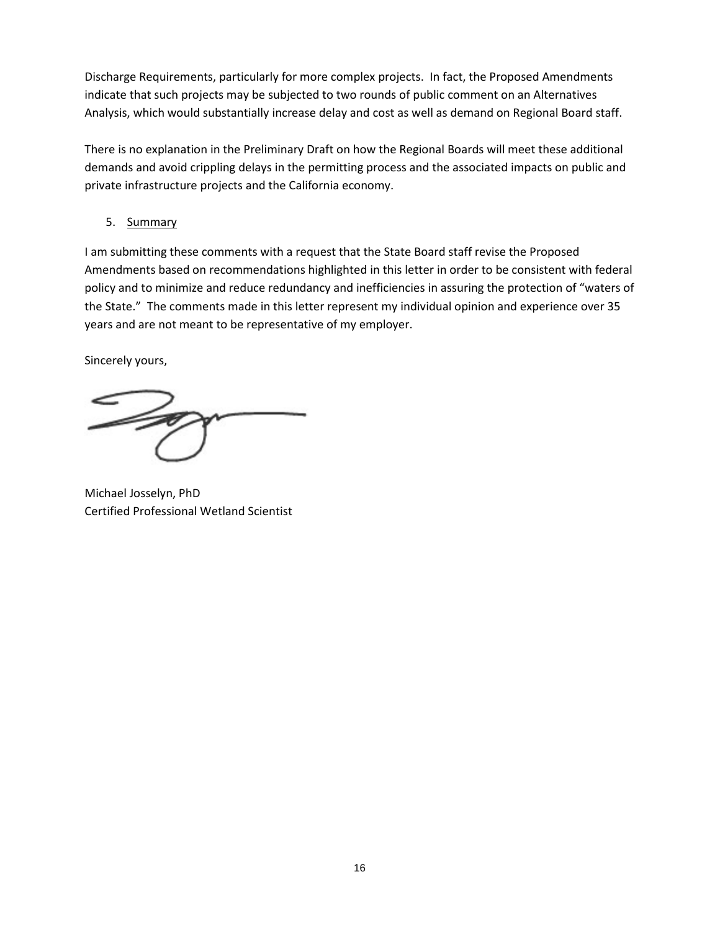Discharge Requirements, particularly for more complex projects. In fact, the Proposed Amendments indicate that such projects may be subjected to two rounds of public comment on an Alternatives Analysis, which would substantially increase delay and cost as well as demand on Regional Board staff.

There is no explanation in the Preliminary Draft on how the Regional Boards will meet these additional demands and avoid crippling delays in the permitting process and the associated impacts on public and private infrastructure projects and the California economy.

5. Summary

I am submitting these comments with a request that the State Board staff revise the Proposed Amendments based on recommendations highlighted in this letter in order to be consistent with federal policy and to minimize and reduce redundancy and inefficiencies in assuring the protection of "waters of the State." The comments made in this letter represent my individual opinion and experience over 35 years and are not meant to be representative of my employer.

Sincerely yours,

Michael Josselyn, PhD Certified Professional Wetland Scientist